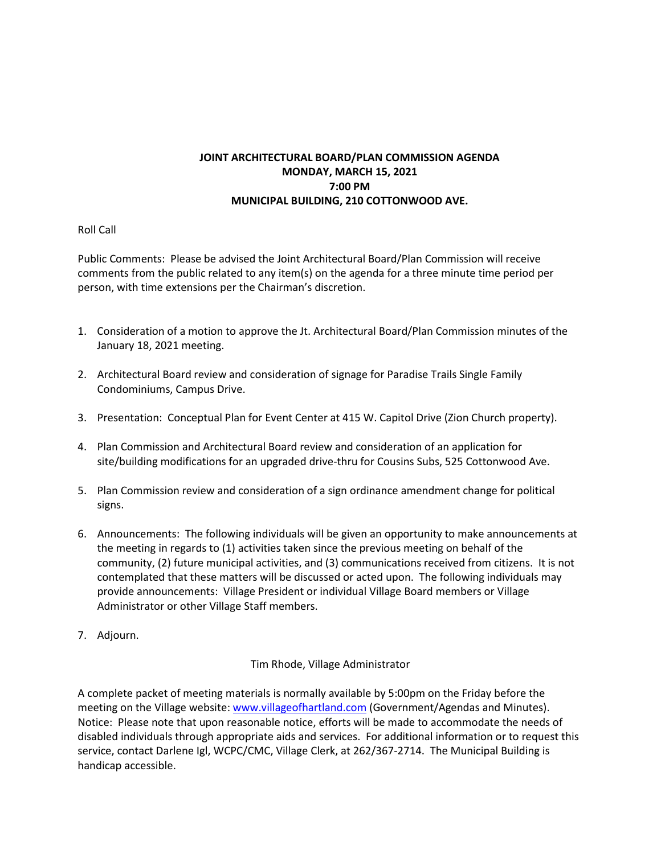## **JOINT ARCHITECTURAL BOARD/PLAN COMMISSION AGENDA MONDAY, MARCH 15, 2021 7:00 PM MUNICIPAL BUILDING, 210 COTTONWOOD AVE.**

## Roll Call

Public Comments: Please be advised the Joint Architectural Board/Plan Commission will receive comments from the public related to any item(s) on the agenda for a three minute time period per person, with time extensions per the Chairman's discretion.

- 1. Consideration of a motion to approve the Jt. Architectural Board/Plan Commission minutes of the January 18, 2021 meeting.
- 2. Architectural Board review and consideration of signage for Paradise Trails Single Family Condominiums, Campus Drive.
- 3. Presentation: Conceptual Plan for Event Center at 415 W. Capitol Drive (Zion Church property).
- 4. Plan Commission and Architectural Board review and consideration of an application for site/building modifications for an upgraded drive-thru for Cousins Subs, 525 Cottonwood Ave.
- 5. Plan Commission review and consideration of a sign ordinance amendment change for political signs.
- 6. Announcements: The following individuals will be given an opportunity to make announcements at the meeting in regards to (1) activities taken since the previous meeting on behalf of the community, (2) future municipal activities, and (3) communications received from citizens. It is not contemplated that these matters will be discussed or acted upon. The following individuals may provide announcements: Village President or individual Village Board members or Village Administrator or other Village Staff members.
- 7. Adjourn.

Tim Rhode, Village Administrator

A complete packet of meeting materials is normally available by 5:00pm on the Friday before the meeting on the Village website[: www.villageofhartland.com](http://www.villageofhartland.com/index.aspx?nid=103) (Government/Agendas and Minutes). Notice: Please note that upon reasonable notice, efforts will be made to accommodate the needs of disabled individuals through appropriate aids and services. For additional information or to request this service, contact Darlene Igl, WCPC/CMC, Village Clerk, at 262/367-2714. The Municipal Building is handicap accessible.